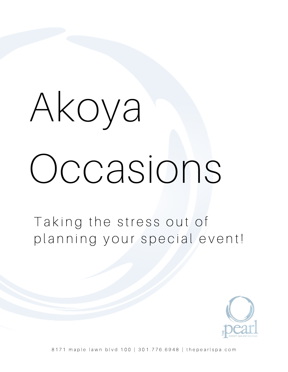# Akoya Occasions

Taking the stress out of planning your special event!



8171 maple lawn blvd 100 | 301.776.6948 | thepearlspa.com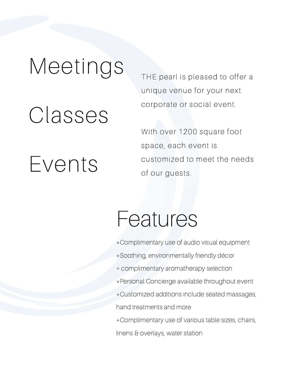## Meetings

## Classes

Events

THE pearl is pleased to offer a unique venue for your next corporate or social event.

With over 1200 square foot space, each event is customized to meet the needs of our guests.

### Features

- \*Complimentary use of audio visual equipment
- \*Soothing, environmentally friendly décor
- + complimentary aromatherapy selection
- \*Personal Concierge available throughout event
- \*Customized additions include seated massages,

hand treatments and more

\*Complimentary use of various table sizes, chairs,

linens & overlays, water station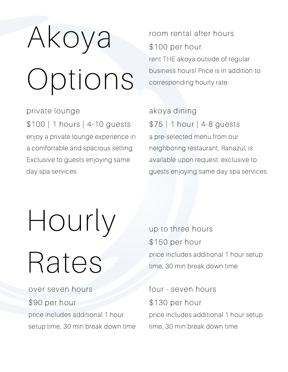## Akoya Options

private lounge \$100 | 1 hours | 4-10 guests enjoy a private lounge experience in a comfortable and spacious setting. Exclusive to guests enjoying same day spa services.

room rental after hours \$100 per hour rent THE akoya outside of regular business hours! Price is in addition to corresponding hourly rate.

akoya dining \$75 | 1 hour | 4-8 guests a pre-selected menu from our neighboring restaurant, Ranazul, is available upon request. exclusive to guests enjoying same day spa services.

Hourly

## Rates

over seven hours \$90 per hour price includes additional 1 hour setup time, 30 min break down time up to three hours \$150 per hour price includes additional 1 hour setup time, 30 min break down time

four - seven hours \$130 per hour price includes additional 1 hour setup time, 30 min break down time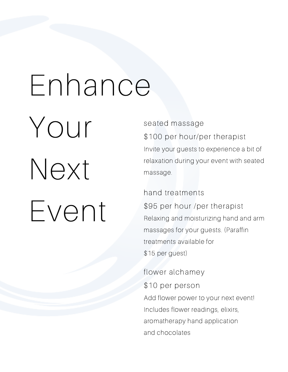## Enhance

Your Next Event

#### seated massage

\$100 per hour/per therapist Invite your guests to experience a bit of relaxation during your event with seated massage.

hand treatments \$95 per hour /per therapist Relaxing and moisturizing hand and arm massages for your guests. (Paraffin treatments available for \$15 per guest)

flower alchamey \$10 per person Add flower power to your next event! Includes flower readings, elixirs, aromatherapy hand application and chocolates